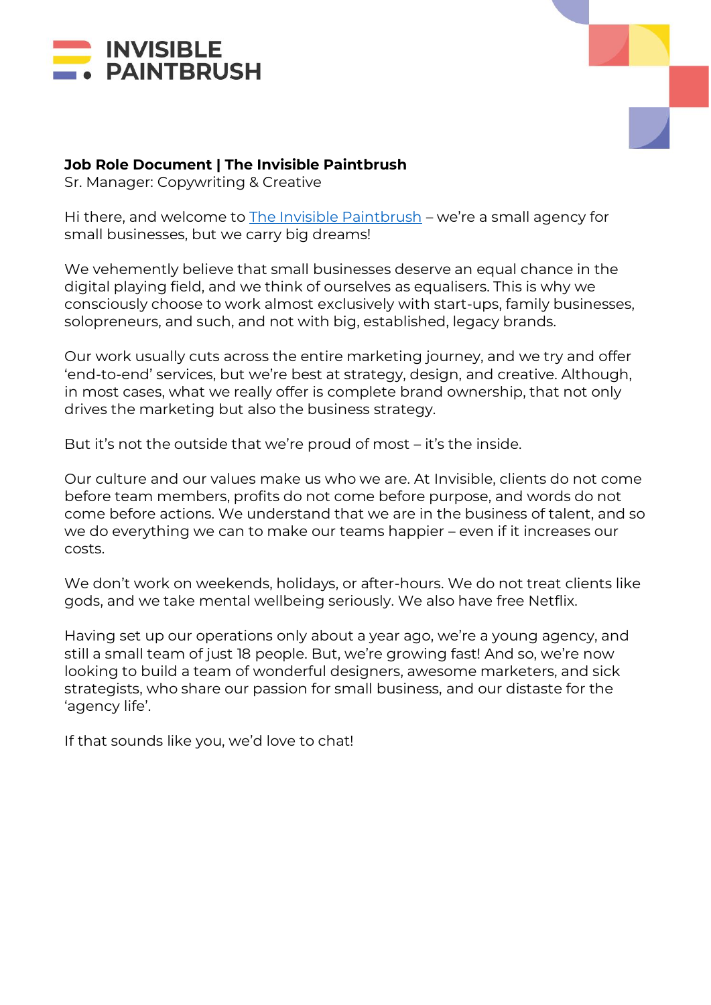



### **Job Role Document | The Invisible Paintbrush**

Sr. Manager: Copywriting & Creative

Hi there, and welcome to [The Invisible Paintbrush](http://www.theinvisiblepaintbrush.com/) – we're a small agency for small businesses, but we carry big dreams!

We vehemently believe that small businesses deserve an equal chance in the digital playing field, and we think of ourselves as equalisers. This is why we consciously choose to work almost exclusively with start-ups, family businesses, solopreneurs, and such, and not with big, established, legacy brands.

Our work usually cuts across the entire marketing journey, and we try and offer 'end-to-end' services, but we're best at strategy, design, and creative. Although, in most cases, what we really offer is complete brand ownership, that not only drives the marketing but also the business strategy.

But it's not the outside that we're proud of most – it's the inside.

Our culture and our values make us who we are. At Invisible, clients do not come before team members, profits do not come before purpose, and words do not come before actions. We understand that we are in the business of talent, and so we do everything we can to make our teams happier – even if it increases our costs.

We don't work on weekends, holidays, or after-hours. We do not treat clients like gods, and we take mental wellbeing seriously. We also have free Netflix.

Having set up our operations only about a year ago, we're a young agency, and still a small team of just 18 people. But, we're growing fast! And so, we're now looking to build a team of wonderful designers, awesome marketers, and sick strategists, who share our passion for small business, and our distaste for the 'agency life'.

If that sounds like you, we'd love to chat!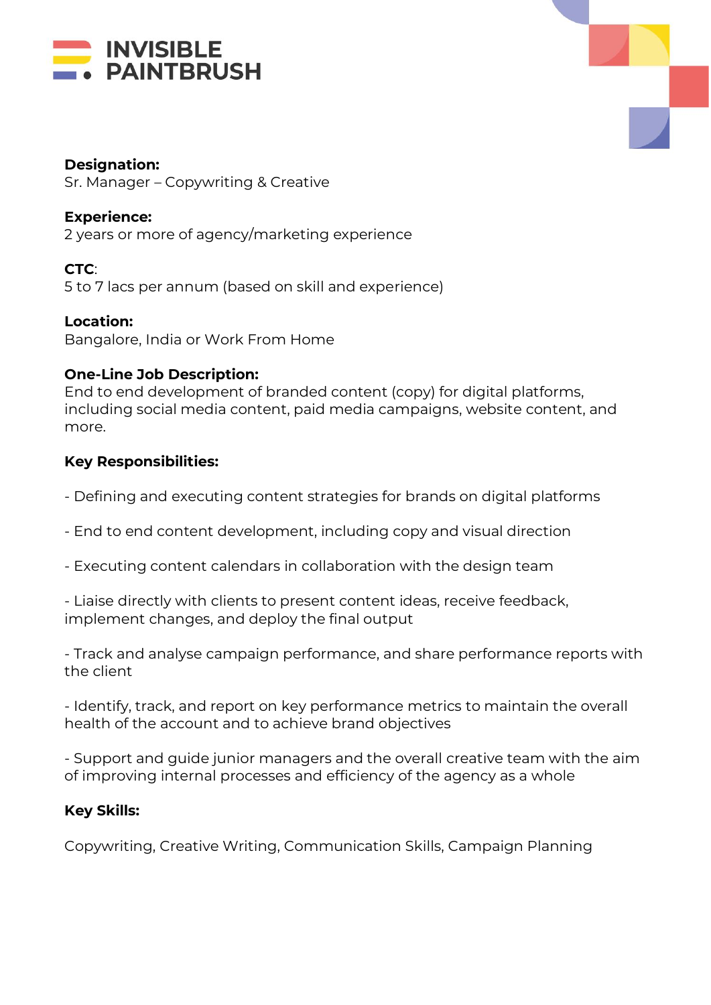



### **Designation:**

Sr. Manager – Copywriting & Creative

## **Experience:**

2 years or more of agency/marketing experience

**CTC**: 5 to 7 lacs per annum (based on skill and experience)

**Location:** Bangalore, India or Work From Home

### **One-Line Job Description:**

End to end development of branded content (copy) for digital platforms, including social media content, paid media campaigns, website content, and more.

### **Key Responsibilities:**

- Defining and executing content strategies for brands on digital platforms
- End to end content development, including copy and visual direction
- Executing content calendars in collaboration with the design team

- Liaise directly with clients to present content ideas, receive feedback, implement changes, and deploy the final output

- Track and analyse campaign performance, and share performance reports with the client

- Identify, track, and report on key performance metrics to maintain the overall health of the account and to achieve brand objectives

- Support and guide junior managers and the overall creative team with the aim of improving internal processes and efficiency of the agency as a whole

# **Key Skills:**

Copywriting, Creative Writing, Communication Skills, Campaign Planning